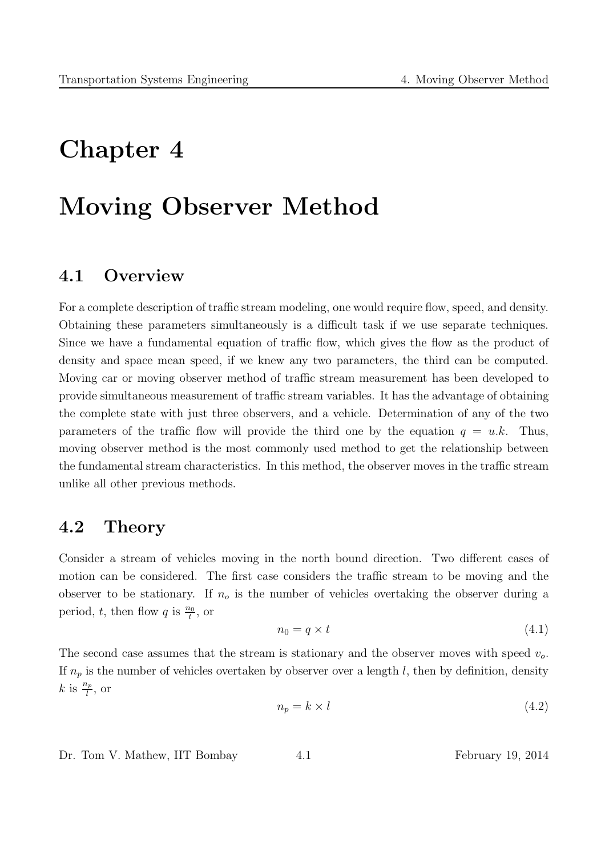# Chapter 4

# Moving Observer Method

## 4.1 Overview

For a complete description of traffic stream modeling, one would require flow, speed, and density. Obtaining these parameters simultaneously is a difficult task if we use separate techniques. Since we have a fundamental equation of traffic flow, which gives the flow as the product of density and space mean speed, if we knew any two parameters, the third can be computed. Moving car or moving observer method of traffic stream measurement has been developed to provide simultaneous measurement of traffic stream variables. It has the advantage of obtaining the complete state with just three observers, and a vehicle. Determination of any of the two parameters of the traffic flow will provide the third one by the equation  $q = u.k$ . Thus, moving observer method is the most commonly used method to get the relationship between the fundamental stream characteristics. In this method, the observer moves in the traffic stream unlike all other previous methods.

## 4.2 Theory

Consider a stream of vehicles moving in the north bound direction. Two different cases of motion can be considered. The first case considers the traffic stream to be moving and the observer to be stationary. If  $n<sub>o</sub>$  is the number of vehicles overtaking the observer during a period, t, then flow q is  $\frac{n_0}{t}$ , or

$$
n_0 = q \times t \tag{4.1}
$$

The second case assumes that the stream is stationary and the observer moves with speed  $v<sub>o</sub>$ . If  $n_p$  is the number of vehicles overtaken by observer over a length l, then by definition, density  $k$  is  $\frac{n_p}{l}$ , or

$$
n_p = k \times l \tag{4.2}
$$

Dr. Tom V. Mathew, IIT Bombay  $4.1$  February 19, 2014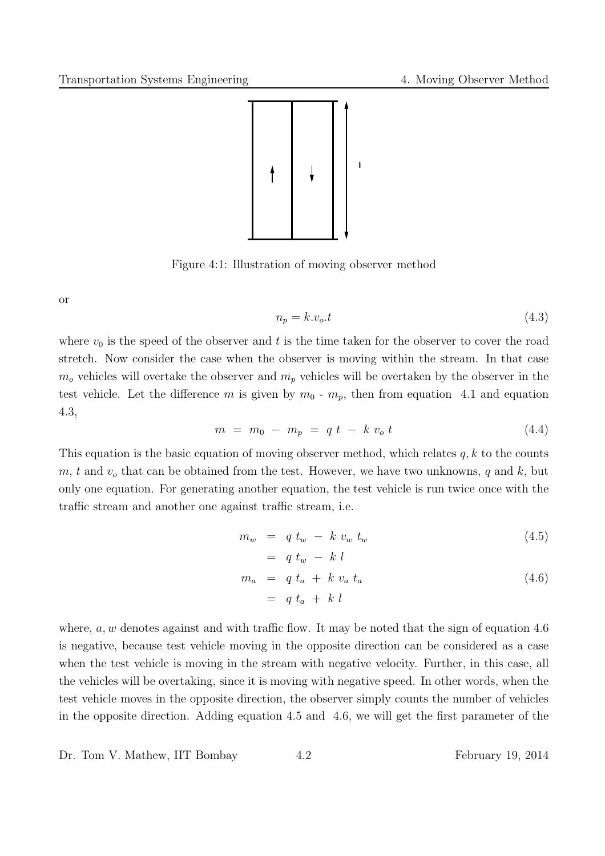

Figure 4:1: Illustration of moving observer method

or

$$
n_p = k.v_o.t \t\t(4.3)
$$

where  $v_0$  is the speed of the observer and t is the time taken for the observer to cover the road stretch. Now consider the case when the observer is moving within the stream. In that case  $m<sub>o</sub>$  vehicles will overtake the observer and  $m<sub>p</sub>$  vehicles will be overtaken by the observer in the test vehicle. Let the difference m is given by  $m_0$  -  $m_p$ , then from equation 4.1 and equation 4.3,

$$
m = m_0 - m_p = q t - k v_o t \tag{4.4}
$$

This equation is the basic equation of moving observer method, which relates  $q, k$  to the counts  $m, t$  and  $v<sub>o</sub>$  that can be obtained from the test. However, we have two unknowns, q and k, but only one equation. For generating another equation, the test vehicle is run twice once with the traffic stream and another one against traffic stream, i.e.

$$
m_w = q t_w - k v_w t_w \tag{4.5}
$$

$$
= q t_w - k l
$$
  
\n
$$
m_a = q t_a + k v_a t_a
$$
\n(4.6)

$$
= q t_a + k l
$$

where,  $a, w$  denotes against and with traffic flow. It may be noted that the sign of equation 4.6 is negative, because test vehicle moving in the opposite direction can be considered as a case when the test vehicle is moving in the stream with negative velocity. Further, in this case, all the vehicles will be overtaking, since it is moving with negative speed. In other words, when the test vehicle moves in the opposite direction, the observer simply counts the number of vehicles in the opposite direction. Adding equation 4.5 and 4.6, we will get the first parameter of the

Dr. Tom V. Mathew, IIT Bombay 4.2 February 19, 2014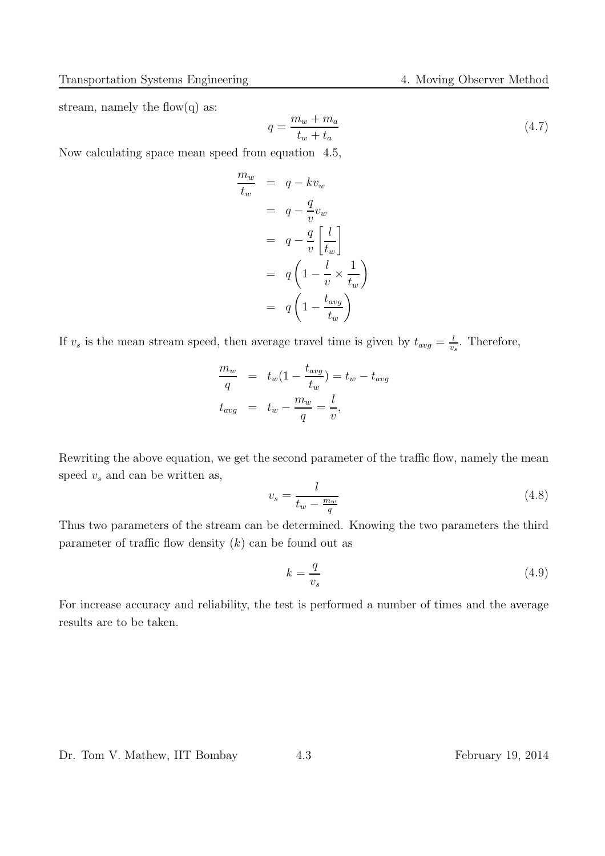stream, namely the flow(q) as:

$$
q = \frac{m_w + m_a}{t_w + t_a} \tag{4.7}
$$

Now calculating space mean speed from equation 4.5,

$$
\frac{m_w}{t_w} = q - kv_w
$$
  
\n
$$
= q - \frac{q}{v}v_w
$$
  
\n
$$
= q - \frac{q}{v} \left[\frac{l}{t_w}\right]
$$
  
\n
$$
= q \left(1 - \frac{l}{v} \times \frac{1}{t_w}\right)
$$
  
\n
$$
= q \left(1 - \frac{t_{avg}}{t_w}\right)
$$

If  $v_s$  is the mean stream speed, then average travel time is given by  $t_{avg} = \frac{l}{v}$  $\frac{l}{v_s}$ . Therefore,

$$
\frac{m_w}{q} = t_w (1 - \frac{t_{avg}}{t_w}) = t_w - t_{avg}
$$

$$
t_{avg} = t_w - \frac{m_w}{q} = \frac{l}{v},
$$

Rewriting the above equation, we get the second parameter of the traffic flow, namely the mean speed  $v_s$  and can be written as,

$$
v_s = \frac{l}{t_w - \frac{m_w}{q}}\tag{4.8}
$$

Thus two parameters of the stream can be determined. Knowing the two parameters the third parameter of traffic flow density  $(k)$  can be found out as

$$
k = \frac{q}{v_s} \tag{4.9}
$$

For increase accuracy and reliability, the test is performed a number of times and the average results are to be taken.

#### Dr. Tom V. Mathew, IIT Bombay 4.3 February 19, 2014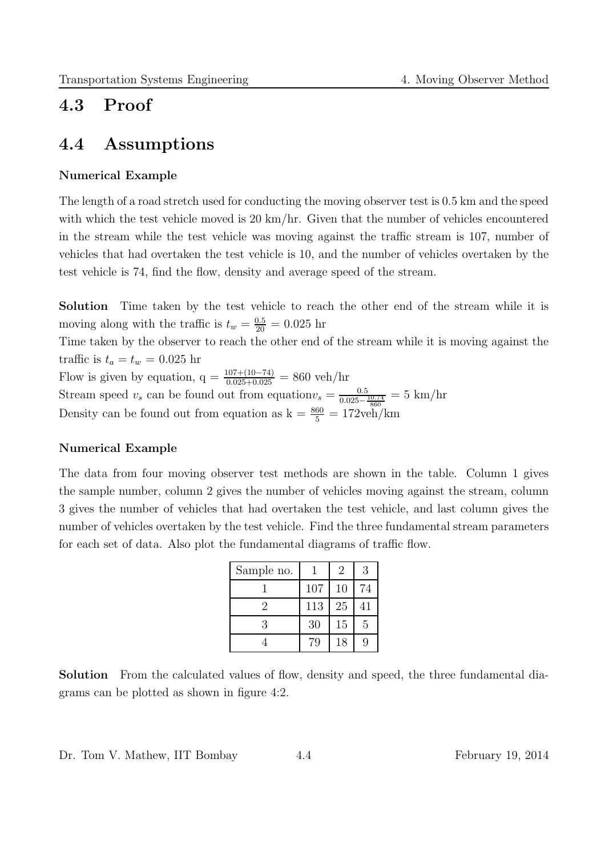## 4.3 Proof

### 4.4 Assumptions

#### Numerical Example

The length of a road stretch used for conducting the moving observer test is 0.5 km and the speed with which the test vehicle moved is 20 km/hr. Given that the number of vehicles encountered in the stream while the test vehicle was moving against the traffic stream is 107, number of vehicles that had overtaken the test vehicle is 10, and the number of vehicles overtaken by the test vehicle is 74, find the flow, density and average speed of the stream.

Solution Time taken by the test vehicle to reach the other end of the stream while it is moving along with the traffic is  $t_w = \frac{0.5}{20} = 0.025$  hr

Time taken by the observer to reach the other end of the stream while it is moving against the traffic is  $t_a = t_w = 0.025$  hr

Flow is given by equation,  $q = \frac{107 + (10 - 74)}{0.025 + 0.025} = 860$  veh/hr Stream speed  $v_s$  can be found out from equation $v_s = \frac{0.5}{0.025 - \frac{10.74}{860}} = 5$  km/hr Density can be found out from equation as  $k = \frac{860}{5} = 172$ veh/km

#### Numerical Example

The data from four moving observer test methods are shown in the table. Column 1 gives the sample number, column 2 gives the number of vehicles moving against the stream, column 3 gives the number of vehicles that had overtaken the test vehicle, and last column gives the number of vehicles overtaken by the test vehicle. Find the three fundamental stream parameters for each set of data. Also plot the fundamental diagrams of traffic flow.

| Sample no. |     | $\overline{2}$ | 3  |
|------------|-----|----------------|----|
|            | 107 | 10             | 74 |
|            | 113 | 25             | 41 |
| 3          | 30  | 15             | 5  |
|            | 79  | 18             |    |

Solution From the calculated values of flow, density and speed, the three fundamental diagrams can be plotted as shown in figure 4:2.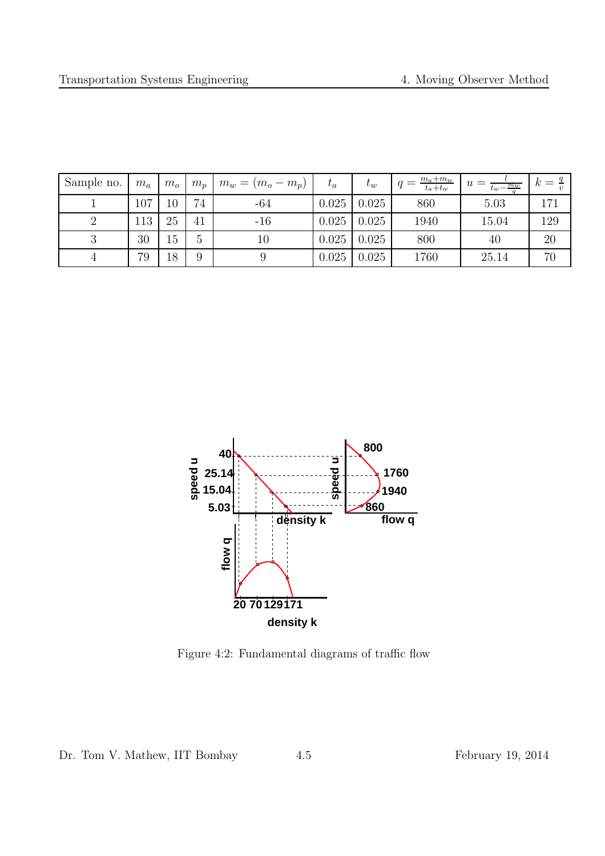| Sample no. | $m_a$ | $m_{o}$ | $m_p$         | $m_w = (m_o - m_p)$ | $t_a$ | $t_w$ | $m_a+m_w$<br>$t_a+t_w$ | $u =$<br>$t_w - \frac{m_w}{\sqrt{m_w}}$ | К   |
|------------|-------|---------|---------------|---------------------|-------|-------|------------------------|-----------------------------------------|-----|
|            | 107   | 10      | 74            | -64                 | 0.025 | 0.025 | 860                    | 5.03                                    | 171 |
|            | 113   | 25      | 41            | $-16$               | 0.025 | 0.025 | 1940                   | 15.04                                   | 129 |
|            | 30    | 15      | $\mathcal{O}$ | $10\,$              | 0.025 | 0.025 | 800                    | 40                                      | 20  |
|            | 79    | 18      | 9             |                     | 0.025 | 0.025 | 1760                   | 25.14                                   | 70  |



Figure 4:2: Fundamental diagrams of traffic flow